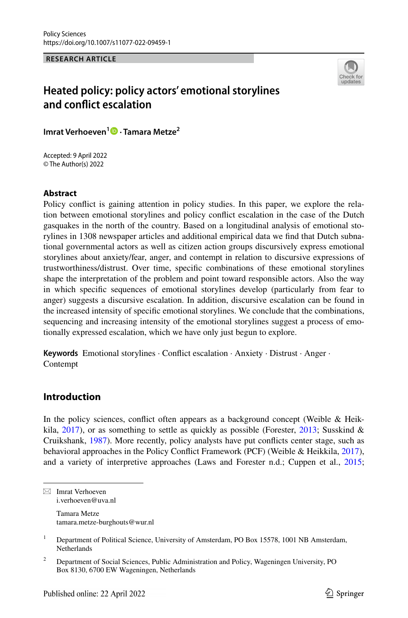**RESEARCH ARTICLE**



# **Heated policy: policy actors' emotional storylines and confict escalation**

**Imrat Verhoeven<sup>1</sup> · Tamara Metze<sup>2</sup>**

Accepted: 9 April 2022 © The Author(s) 2022

## **Abstract**

Policy confict is gaining attention in policy studies. In this paper, we explore the relation between emotional storylines and policy confict escalation in the case of the Dutch gasquakes in the north of the country. Based on a longitudinal analysis of emotional storylines in 1308 newspaper articles and additional empirical data we fnd that Dutch subnational governmental actors as well as citizen action groups discursively express emotional storylines about anxiety/fear, anger, and contempt in relation to discursive expressions of trustworthiness/distrust. Over time, specifc combinations of these emotional storylines shape the interpretation of the problem and point toward responsible actors. Also the way in which specifc sequences of emotional storylines develop (particularly from fear to anger) suggests a discursive escalation. In addition, discursive escalation can be found in the increased intensity of specifc emotional storylines. We conclude that the combinations, sequencing and increasing intensity of the emotional storylines suggest a process of emotionally expressed escalation, which we have only just begun to explore.

**Keywords** Emotional storylines · Confict escalation · Anxiety · Distrust · Anger · Contempt

# **Introduction**

In the policy sciences, confict often appears as a background concept (Weible & Heikkila,  $2017$ ), or as something to settle as quickly as possible (Forester,  $2013$ ; Susskind & Cruikshank, [1987](#page-14-1)). More recently, policy analysts have put conficts center stage, such as behavioral approaches in the Policy Confict Framework (PCF) (Weible & Heikkila, [2017](#page-14-0)), and a variety of interpretive approaches (Laws and Forester n.d.; Cuppen et al., [2015;](#page-13-1)

 $\boxtimes$  Imrat Verhoeven i.verhoeven@uva.nl

> Tamara Metze tamara.metze-burghouts@wur.nl

<sup>&</sup>lt;sup>1</sup> Department of Political Science, University of Amsterdam, PO Box 15578, 1001 NB Amsterdam, **Netherlands** 

<sup>&</sup>lt;sup>2</sup> Department of Social Sciences, Public Administration and Policy, Wageningen University, PO Box 8130, 6700 EW Wageningen, Netherlands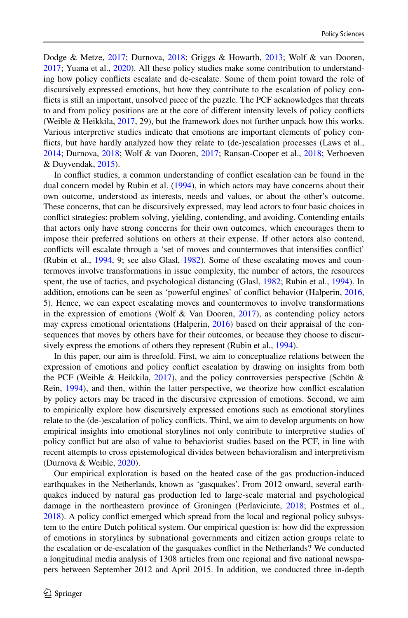Dodge & Metze, [2017](#page-13-2); Durnova, [2018;](#page-13-3) Griggs & Howarth, [2013;](#page-13-4) Wolf & van Dooren, [2017;](#page-14-2) Yuana et al., [2020](#page-14-3)). All these policy studies make some contribution to understanding how policy conficts escalate and de-escalate. Some of them point toward the role of discursively expressed emotions, but how they contribute to the escalation of policy conficts is still an important, unsolved piece of the puzzle. The PCF acknowledges that threats to and from policy positions are at the core of diferent intensity levels of policy conficts (Weible & Heikkila, [2017,](#page-14-0) 29), but the framework does not further unpack how this works. Various interpretive studies indicate that emotions are important elements of policy conficts, but have hardly analyzed how they relate to (de-)escalation processes (Laws et al., [2014;](#page-13-5) Durnova, [2018;](#page-13-3) Wolf & van Dooren, [2017;](#page-14-2) Ransan-Cooper et al., [2018](#page-13-6); Verhoeven & Duyvendak, [2015\)](#page-14-4).

In confict studies, a common understanding of confict escalation can be found in the dual concern model by Rubin et al. [\(1994](#page-13-7)), in which actors may have concerns about their own outcome, understood as interests, needs and values, or about the other's outcome. These concerns, that can be discursively expressed, may lead actors to four basic choices in confict strategies: problem solving, yielding, contending, and avoiding. Contending entails that actors only have strong concerns for their own outcomes, which encourages them to impose their preferred solutions on others at their expense. If other actors also contend, conficts will escalate through a 'set of moves and countermoves that intensifes confict' (Rubin et al., [1994,](#page-13-7) 9; see also Glasl, [1982](#page-13-8)). Some of these escalating moves and countermoves involve transformations in issue complexity, the number of actors, the resources spent, the use of tactics, and psychological distancing (Glasl, [1982](#page-13-8); Rubin et al., [1994](#page-13-7)). In addition, emotions can be seen as 'powerful engines' of confict behavior (Halperin, [2016](#page-13-9), 5). Hence, we can expect escalating moves and countermoves to involve transformations in the expression of emotions (Wolf & Van Dooren,  $2017$ ), as contending policy actors may express emotional orientations (Halperin, [2016\)](#page-13-9) based on their appraisal of the consequences that moves by others have for their outcomes, or because they choose to discur-sively express the emotions of others they represent (Rubin et al., [1994\)](#page-13-7).

In this paper, our aim is threefold. First, we aim to conceptualize relations between the expression of emotions and policy confict escalation by drawing on insights from both the PCF (Weible & Heikkila, [2017](#page-14-0)), and the policy controversies perspective (Schön & Rein, [1994\)](#page-14-5), and then, within the latter perspective, we theorize how confict escalation by policy actors may be traced in the discursive expression of emotions. Second, we aim to empirically explore how discursively expressed emotions such as emotional storylines relate to the (de-)escalation of policy conficts. Third, we aim to develop arguments on how empirical insights into emotional storylines not only contribute to interpretive studies of policy confict but are also of value to behaviorist studies based on the PCF, in line with recent attempts to cross epistemological divides between behavioralism and interpretivism (Durnova & Weible, [2020\)](#page-13-10).

Our empirical exploration is based on the heated case of the gas production-induced earthquakes in the Netherlands, known as 'gasquakes'. From 2012 onward, several earthquakes induced by natural gas production led to large-scale material and psychological damage in the northeastern province of Groningen (Perlaviciute, [2018](#page-13-11); Postmes et al., [2018\)](#page-13-12). A policy confict emerged which spread from the local and regional policy subsystem to the entire Dutch political system. Our empirical question is: how did the expression of emotions in storylines by subnational governments and citizen action groups relate to the escalation or de-escalation of the gasquakes confict in the Netherlands? We conducted a longitudinal media analysis of 1308 articles from one regional and fve national newspapers between September 2012 and April 2015. In addition, we conducted three in-depth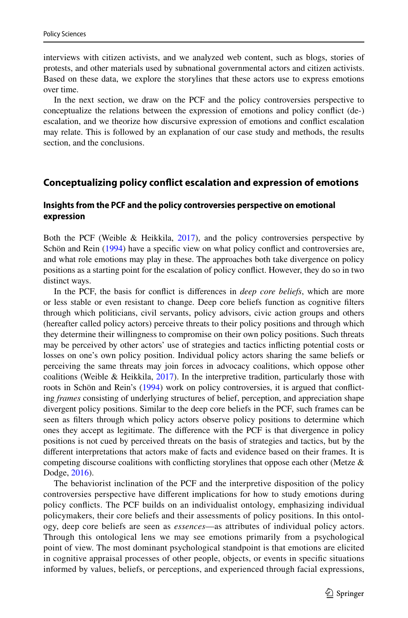interviews with citizen activists, and we analyzed web content, such as blogs, stories of protests, and other materials used by subnational governmental actors and citizen activists. Based on these data, we explore the storylines that these actors use to express emotions over time.

In the next section, we draw on the PCF and the policy controversies perspective to conceptualize the relations between the expression of emotions and policy confict (de-) escalation, and we theorize how discursive expression of emotions and confict escalation may relate. This is followed by an explanation of our case study and methods, the results section, and the conclusions.

#### **Conceptualizing policy confict escalation and expression of emotions**

## **Insights from the PCF and the policy controversies perspective on emotional expression**

Both the PCF (Weible & Heikkila, [2017](#page-14-0)), and the policy controversies perspective by Schön and Rein [\(1994](#page-14-5)) have a specifc view on what policy confict and controversies are, and what role emotions may play in these. The approaches both take divergence on policy positions as a starting point for the escalation of policy confict. However, they do so in two distinct ways.

In the PCF, the basis for confict is diferences in *deep core beliefs*, which are more or less stable or even resistant to change. Deep core beliefs function as cognitive flters through which politicians, civil servants, policy advisors, civic action groups and others (hereafter called policy actors) perceive threats to their policy positions and through which they determine their willingness to compromise on their own policy positions. Such threats may be perceived by other actors' use of strategies and tactics inficting potential costs or losses on one's own policy position. Individual policy actors sharing the same beliefs or perceiving the same threats may join forces in advocacy coalitions, which oppose other coalitions (Weible & Heikkila,  $2017$ ). In the interpretive tradition, particularly those with roots in Schön and Rein's [\(1994](#page-14-5)) work on policy controversies, it is argued that conficting *frames* consisting of underlying structures of belief, perception, and appreciation shape divergent policy positions. Similar to the deep core beliefs in the PCF, such frames can be seen as flters through which policy actors observe policy positions to determine which ones they accept as legitimate. The diference with the PCF is that divergence in policy positions is not cued by perceived threats on the basis of strategies and tactics, but by the diferent interpretations that actors make of facts and evidence based on their frames. It is competing discourse coalitions with conflicting storylines that oppose each other (Metze  $\&$ Dodge, [2016\)](#page-13-13).

The behaviorist inclination of the PCF and the interpretive disposition of the policy controversies perspective have diferent implications for how to study emotions during policy conficts. The PCF builds on an individualist ontology, emphasizing individual policymakers, their core beliefs and their assessments of policy positions. In this ontology, deep core beliefs are seen as *essences*—as attributes of individual policy actors. Through this ontological lens we may see emotions primarily from a psychological point of view. The most dominant psychological standpoint is that emotions are elicited in cognitive appraisal processes of other people, objects, or events in specifc situations informed by values, beliefs, or perceptions, and experienced through facial expressions,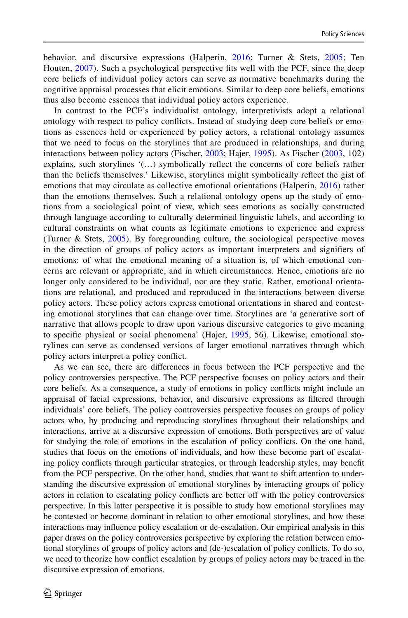behavior, and discursive expressions (Halperin, [2016;](#page-13-9) Turner & Stets, [2005;](#page-14-6) Ten Houten, [2007\)](#page-14-7). Such a psychological perspective fts well with the PCF, since the deep core beliefs of individual policy actors can serve as normative benchmarks during the cognitive appraisal processes that elicit emotions. Similar to deep core beliefs, emotions thus also become essences that individual policy actors experience.

In contrast to the PCF's individualist ontology, interpretivists adopt a relational ontology with respect to policy conficts. Instead of studying deep core beliefs or emotions as essences held or experienced by policy actors, a relational ontology assumes that we need to focus on the storylines that are produced in relationships, and during interactions between policy actors (Fischer, [2003;](#page-13-14) Hajer, [1995\)](#page-13-15). As Fischer ([2003](#page-13-14), 102) explains, such storylines '(…) symbolically refect the concerns of core beliefs rather than the beliefs themselves.' Likewise, storylines might symbolically refect the gist of emotions that may circulate as collective emotional orientations (Halperin, [2016\)](#page-13-9) rather than the emotions themselves. Such a relational ontology opens up the study of emotions from a sociological point of view, which sees emotions as socially constructed through language according to culturally determined linguistic labels, and according to cultural constraints on what counts as legitimate emotions to experience and express (Turner & Stets, [2005\)](#page-14-6). By foregrounding culture, the sociological perspective moves in the direction of groups of policy actors as important interpreters and signifers of emotions: of what the emotional meaning of a situation is, of which emotional concerns are relevant or appropriate, and in which circumstances. Hence, emotions are no longer only considered to be individual, nor are they static. Rather, emotional orientations are relational, and produced and reproduced in the interactions between diverse policy actors. These policy actors express emotional orientations in shared and contesting emotional storylines that can change over time. Storylines are 'a generative sort of narrative that allows people to draw upon various discursive categories to give meaning to specifc physical or social phenomena' (Hajer, [1995](#page-13-15), 56). Likewise, emotional storylines can serve as condensed versions of larger emotional narratives through which policy actors interpret a policy confict.

As we can see, there are diferences in focus between the PCF perspective and the policy controversies perspective. The PCF perspective focuses on policy actors and their core beliefs. As a consequence, a study of emotions in policy conficts might include an appraisal of facial expressions, behavior, and discursive expressions as fltered through individuals' core beliefs. The policy controversies perspective focuses on groups of policy actors who, by producing and reproducing storylines throughout their relationships and interactions, arrive at a discursive expression of emotions. Both perspectives are of value for studying the role of emotions in the escalation of policy conficts. On the one hand, studies that focus on the emotions of individuals, and how these become part of escalating policy conficts through particular strategies, or through leadership styles, may beneft from the PCF perspective. On the other hand, studies that want to shift attention to understanding the discursive expression of emotional storylines by interacting groups of policy actors in relation to escalating policy conficts are better of with the policy controversies perspective. In this latter perspective it is possible to study how emotional storylines may be contested or become dominant in relation to other emotional storylines, and how these interactions may infuence policy escalation or de-escalation. Our empirical analysis in this paper draws on the policy controversies perspective by exploring the relation between emotional storylines of groups of policy actors and (de-)escalation of policy conficts. To do so, we need to theorize how confict escalation by groups of policy actors may be traced in the discursive expression of emotions.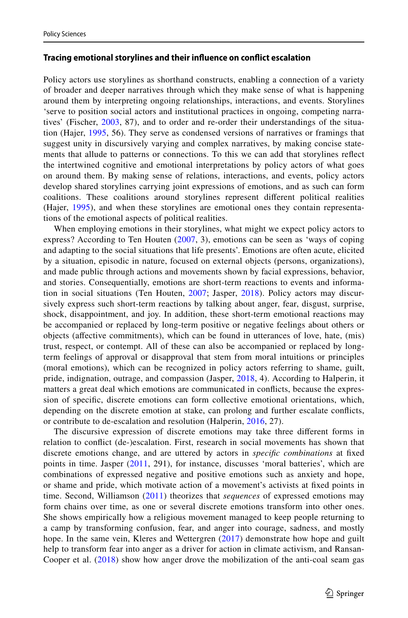#### **Tracing emotional storylines and their infuence on confict escalation**

Policy actors use storylines as shorthand constructs, enabling a connection of a variety of broader and deeper narratives through which they make sense of what is happening around them by interpreting ongoing relationships, interactions, and events. Storylines 'serve to position social actors and institutional practices in ongoing, competing narratives' (Fischer, [2003,](#page-13-14) 87), and to order and re-order their understandings of the situation (Hajer, [1995,](#page-13-15) 56). They serve as condensed versions of narratives or framings that suggest unity in discursively varying and complex narratives, by making concise statements that allude to patterns or connections. To this we can add that storylines refect the intertwined cognitive and emotional interpretations by policy actors of what goes on around them. By making sense of relations, interactions, and events, policy actors develop shared storylines carrying joint expressions of emotions, and as such can form coalitions. These coalitions around storylines represent diferent political realities (Hajer, [1995](#page-13-15)), and when these storylines are emotional ones they contain representations of the emotional aspects of political realities.

When employing emotions in their storylines, what might we expect policy actors to express? According to Ten Houten ([2007,](#page-14-7) 3), emotions can be seen as 'ways of coping and adapting to the social situations that life presents'. Emotions are often acute, elicited by a situation, episodic in nature, focused on external objects (persons, organizations), and made public through actions and movements shown by facial expressions, behavior, and stories. Consequentially, emotions are short-term reactions to events and information in social situations (Ten Houten, [2007;](#page-14-7) Jasper, [2018](#page-13-16)). Policy actors may discursively express such short-term reactions by talking about anger, fear, disgust, surprise, shock, disappointment, and joy. In addition, these short-term emotional reactions may be accompanied or replaced by long-term positive or negative feelings about others or objects (afective commitments), which can be found in utterances of love, hate, (mis) trust, respect, or contempt. All of these can also be accompanied or replaced by longterm feelings of approval or disapproval that stem from moral intuitions or principles (moral emotions), which can be recognized in policy actors referring to shame, guilt, pride, indignation, outrage, and compassion (Jasper, [2018,](#page-13-16) 4). According to Halperin, it matters a great deal which emotions are communicated in conficts, because the expression of specifc, discrete emotions can form collective emotional orientations, which, depending on the discrete emotion at stake, can prolong and further escalate conficts, or contribute to de-escalation and resolution (Halperin, [2016](#page-13-9), 27).

The discursive expression of discrete emotions may take three diferent forms in relation to confict (de-)escalation. First, research in social movements has shown that discrete emotions change, and are uttered by actors in *specifc combinations* at fxed points in time. Jasper ([2011](#page-13-17), 291), for instance, discusses 'moral batteries', which are combinations of expressed negative and positive emotions such as anxiety and hope, or shame and pride, which motivate action of a movement's activists at fxed points in time. Second, Williamson ([2011\)](#page-14-8) theorizes that *sequences* of expressed emotions may form chains over time, as one or several discrete emotions transform into other ones. She shows empirically how a religious movement managed to keep people returning to a camp by transforming confusion, fear, and anger into courage, sadness, and mostly hope. In the same vein, Kleres and Wettergren ([2017](#page-13-18)) demonstrate how hope and guilt help to transform fear into anger as a driver for action in climate activism, and Ransan-Cooper et al. ([2018\)](#page-13-6) show how anger drove the mobilization of the anti-coal seam gas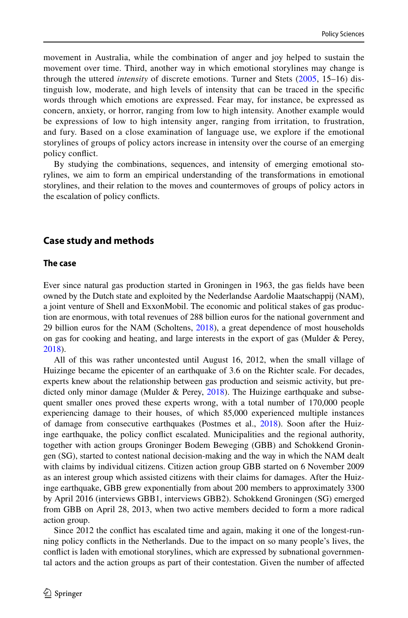movement in Australia, while the combination of anger and joy helped to sustain the movement over time. Third, another way in which emotional storylines may change is through the uttered *intensity* of discrete emotions. Turner and Stets ([2005](#page-14-6), 15–16) distinguish low, moderate, and high levels of intensity that can be traced in the specifc words through which emotions are expressed. Fear may, for instance, be expressed as concern, anxiety, or horror, ranging from low to high intensity. Another example would be expressions of low to high intensity anger, ranging from irritation, to frustration, and fury. Based on a close examination of language use, we explore if the emotional storylines of groups of policy actors increase in intensity over the course of an emerging policy confict.

By studying the combinations, sequences, and intensity of emerging emotional storylines, we aim to form an empirical understanding of the transformations in emotional storylines, and their relation to the moves and countermoves of groups of policy actors in the escalation of policy conficts.

## **Case study and methods**

#### **The case**

Ever since natural gas production started in Groningen in 1963, the gas felds have been owned by the Dutch state and exploited by the Nederlandse Aardolie Maatschappij (NAM), a joint venture of Shell and ExxonMobil. The economic and political stakes of gas production are enormous, with total revenues of 288 billion euros for the national government and 29 billion euros for the NAM (Scholtens, [2018](#page-13-19)), a great dependence of most households on gas for cooking and heating, and large interests in the export of gas (Mulder & Perey, [2018\)](#page-13-20).

All of this was rather uncontested until August 16, 2012, when the small village of Huizinge became the epicenter of an earthquake of 3.6 on the Richter scale. For decades, experts knew about the relationship between gas production and seismic activity, but predicted only minor damage (Mulder & Perey,  $2018$ ). The Huizinge earthquake and subsequent smaller ones proved these experts wrong, with a total number of 170,000 people experiencing damage to their houses, of which 85,000 experienced multiple instances of damage from consecutive earthquakes (Postmes et al., [2018](#page-13-12)). Soon after the Huizinge earthquake, the policy confict escalated. Municipalities and the regional authority, together with action groups Groninger Bodem Beweging (GBB) and Schokkend Groningen (SG), started to contest national decision-making and the way in which the NAM dealt with claims by individual citizens. Citizen action group GBB started on 6 November 2009 as an interest group which assisted citizens with their claims for damages. After the Huizinge earthquake, GBB grew exponentially from about 200 members to approximately 3300 by April 2016 (interviews GBB1, interviews GBB2). Schokkend Groningen (SG) emerged from GBB on April 28, 2013, when two active members decided to form a more radical action group.

Since 2012 the confict has escalated time and again, making it one of the longest-running policy conficts in the Netherlands. Due to the impact on so many people's lives, the confict is laden with emotional storylines, which are expressed by subnational governmental actors and the action groups as part of their contestation. Given the number of afected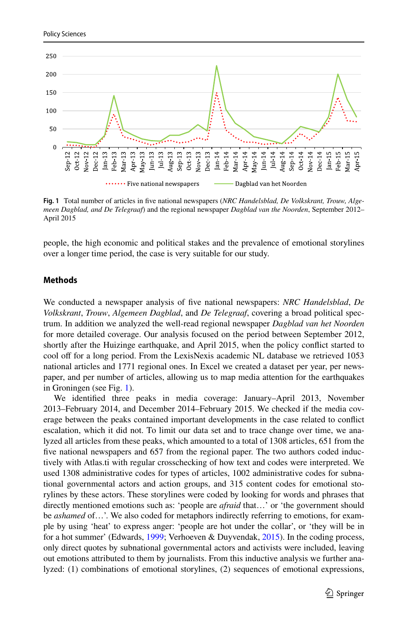

<span id="page-6-0"></span>**Fig. 1** Total number of articles in fve national newspapers (*NRC Handelsblad, De Volkskrant, Trouw, Algemeen Dagblad, and De Telegraaf*) and the regional newspaper *Dagblad van the Noorden*, September 2012– April 2015

people, the high economic and political stakes and the prevalence of emotional storylines over a longer time period, the case is very suitable for our study.

## **Methods**

We conducted a newspaper analysis of fve national newspapers: *NRC Handelsblad*, *De Volkskrant*, *Trouw*, *Algemeen Dagblad*, and *De Telegraaf*, covering a broad political spectrum. In addition we analyzed the well-read regional newspaper *Dagblad van het Noorden* for more detailed coverage. Our analysis focused on the period between September 2012, shortly after the Huizinge earthquake, and April 2015, when the policy confict started to cool of for a long period. From the LexisNexis academic NL database we retrieved 1053 national articles and 1771 regional ones. In Excel we created a dataset per year, per newspaper, and per number of articles, allowing us to map media attention for the earthquakes in Groningen (see Fig. [1](#page-6-0)).

We identifed three peaks in media coverage: January–April 2013, November 2013–February 2014, and December 2014–February 2015. We checked if the media coverage between the peaks contained important developments in the case related to confict escalation, which it did not. To limit our data set and to trace change over time, we analyzed all articles from these peaks, which amounted to a total of 1308 articles, 651 from the fve national newspapers and 657 from the regional paper. The two authors coded inductively with Atlas.ti with regular crosschecking of how text and codes were interpreted. We used 1308 administrative codes for types of articles, 1002 administrative codes for subnational governmental actors and action groups, and 315 content codes for emotional storylines by these actors. These storylines were coded by looking for words and phrases that directly mentioned emotions such as: 'people are *afraid* that…' or 'the government should be *ashamed* of…'. We also coded for metaphors indirectly referring to emotions, for example by using 'heat' to express anger: 'people are hot under the collar', or 'they will be in for a hot summer' (Edwards, [1999;](#page-13-21) Verhoeven & Duyvendak, [2015](#page-14-4)). In the coding process, only direct quotes by subnational governmental actors and activists were included, leaving out emotions attributed to them by journalists. From this inductive analysis we further analyzed: (1) combinations of emotional storylines, (2) sequences of emotional expressions,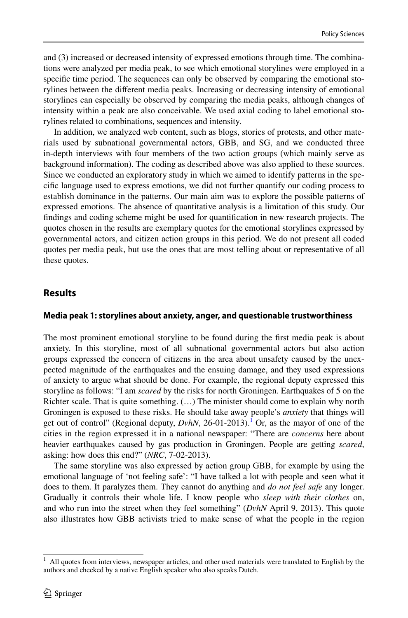and (3) increased or decreased intensity of expressed emotions through time. The combinations were analyzed per media peak, to see which emotional storylines were employed in a specifc time period. The sequences can only be observed by comparing the emotional storylines between the diferent media peaks. Increasing or decreasing intensity of emotional storylines can especially be observed by comparing the media peaks, although changes of intensity within a peak are also conceivable. We used axial coding to label emotional storylines related to combinations, sequences and intensity.

In addition, we analyzed web content, such as blogs, stories of protests, and other materials used by subnational governmental actors, GBB, and SG, and we conducted three in-depth interviews with four members of the two action groups (which mainly serve as background information). The coding as described above was also applied to these sources. Since we conducted an exploratory study in which we aimed to identify patterns in the specifc language used to express emotions, we did not further quantify our coding process to establish dominance in the patterns. Our main aim was to explore the possible patterns of expressed emotions. The absence of quantitative analysis is a limitation of this study. Our fndings and coding scheme might be used for quantifcation in new research projects. The quotes chosen in the results are exemplary quotes for the emotional storylines expressed by governmental actors, and citizen action groups in this period. We do not present all coded quotes per media peak, but use the ones that are most telling about or representative of all these quotes.

# **Results**

## **Media peak 1: storylines about anxiety, anger, and questionable trustworthiness**

The most prominent emotional storyline to be found during the frst media peak is about anxiety. In this storyline, most of all subnational governmental actors but also action groups expressed the concern of citizens in the area about unsafety caused by the unexpected magnitude of the earthquakes and the ensuing damage, and they used expressions of anxiety to argue what should be done. For example, the regional deputy expressed this storyline as follows: "I am *scared* by the risks for north Groningen. Earthquakes of 5 on the Richter scale. That is quite something. (…) The minister should come to explain why north Groningen is exposed to these risks. He should take away people's *anxiety* that things will get out of control" (Regional deputy, *DvhN*, 26-01-2013).<sup>1</sup> Or, as the mayor of one of the cities in the region expressed it in a national newspaper: "There are *concerns* here about heavier earthquakes caused by gas production in Groningen. People are getting *scared*, asking: how does this end?" (*NRC*, 7-02-2013).

The same storyline was also expressed by action group GBB, for example by using the emotional language of 'not feeling safe': "I have talked a lot with people and seen what it does to them. It paralyzes them. They cannot do anything and *do not feel safe* any longer. Gradually it controls their whole life. I know people who *sleep with their clothes* on, and who run into the street when they feel something" (*DvhN* April 9, 2013). This quote also illustrates how GBB activists tried to make sense of what the people in the region

<span id="page-7-0"></span> $<sup>1</sup>$  All quotes from interviews, newspaper articles, and other used materials were translated to English by the</sup> authors and checked by a native English speaker who also speaks Dutch.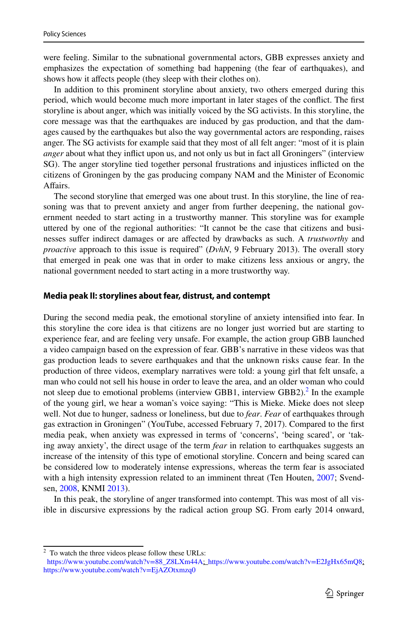were feeling. Similar to the subnational governmental actors, GBB expresses anxiety and emphasizes the expectation of something bad happening (the fear of earthquakes), and shows how it afects people (they sleep with their clothes on).

In addition to this prominent storyline about anxiety, two others emerged during this period, which would become much more important in later stages of the confict. The frst storyline is about anger, which was initially voiced by the SG activists. In this storyline, the core message was that the earthquakes are induced by gas production, and that the damages caused by the earthquakes but also the way governmental actors are responding, raises anger. The SG activists for example said that they most of all felt anger: "most of it is plain *anger* about what they infict upon us, and not only us but in fact all Groningers" (interview SG). The anger storyline tied together personal frustrations and injustices inficted on the citizens of Groningen by the gas producing company NAM and the Minister of Economic Afairs.

The second storyline that emerged was one about trust. In this storyline, the line of reasoning was that to prevent anxiety and anger from further deepening, the national government needed to start acting in a trustworthy manner. This storyline was for example uttered by one of the regional authorities: "It cannot be the case that citizens and businesses sufer indirect damages or are afected by drawbacks as such. A *trustworthy* and *proactive* approach to this issue is required" (*DvhN*, 9 February 2013). The overall story that emerged in peak one was that in order to make citizens less anxious or angry, the national government needed to start acting in a more trustworthy way.

#### **Media peak II: storylines about fear, distrust, and contempt**

During the second media peak, the emotional storyline of anxiety intensifed into fear. In this storyline the core idea is that citizens are no longer just worried but are starting to experience fear, and are feeling very unsafe. For example, the action group GBB launched a video campaign based on the expression of fear. GBB's narrative in these videos was that gas production leads to severe earthquakes and that the unknown risks cause fear. In the production of three videos, exemplary narratives were told: a young girl that felt unsafe, a man who could not sell his house in order to leave the area, and an older woman who could not sleep due to emotional problems (interview GBB1, interview GBB2).<sup>2</sup> In the example of the young girl, we hear a woman's voice saying: "This is Mieke. Mieke does not sleep well. Not due to hunger, sadness or loneliness, but due to *fear*. *Fear* of earthquakes through gas extraction in Groningen" (YouTube, accessed February 7, 2017). Compared to the frst media peak, when anxiety was expressed in terms of 'concerns', 'being scared', or 'taking away anxiety', the direct usage of the term *fear* in relation to earthquakes suggests an increase of the intensity of this type of emotional storyline. Concern and being scared can be considered low to moderately intense expressions, whereas the term fear is associated with a high intensity expression related to an imminent threat (Ten Houten, [2007](#page-14-7); Svendsen, [2008](#page-14-9), KNMI [2013\)](#page-13-22).

In this peak, the storyline of anger transformed into contempt. This was most of all visible in discursive expressions by the radical action group SG. From early 2014 onward,

<span id="page-8-0"></span><sup>2</sup> To watch the three videos please follow these URLs:

[https://www.youtube.com/watch?v=88\\_Z8LXm44A;](https://www.youtube.com/watch?v=88_Z8LXm44A) <https://www.youtube.com/watch?v=E2JgHx65mQ8>; <https://www.youtube.com/watch?v=EjAZOtxmzq0>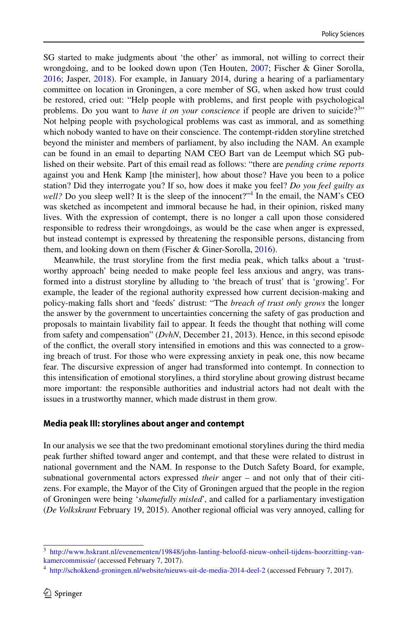SG started to make judgments about 'the other' as immoral, not willing to correct their wrongdoing, and to be looked down upon (Ten Houten, [2007](#page-14-7); Fischer & Giner Sorolla, [2016;](#page-13-23) Jasper, [2018](#page-13-16)). For example, in January 2014, during a hearing of a parliamentary committee on location in Groningen, a core member of SG, when asked how trust could be restored, cried out: "Help people with problems, and frst people with psychological problems. Do you want to *have it on your conscience* if people are driven to suicide?<sup>[3](#page-9-0)</sup>" Not helping people with psychological problems was cast as immoral, and as something which nobody wanted to have on their conscience. The contempt-ridden storyline stretched beyond the minister and members of parliament, by also including the NAM. An example can be found in an email to departing NAM CEO Bart van de Leemput which SG published on their website. Part of this email read as follows: "there are *pending crime reports* against you and Henk Kamp [the minister], how about those? Have you been to a police station? Did they interrogate you? If so, how does it make you feel? *Do you feel guilty as*  well? Do you sleep well? It is the sleep of the innocent?"<sup>[4](#page-9-1)</sup> In the email, the NAM's CEO was sketched as incompetent and immoral because he had, in their opinion, risked many lives. With the expression of contempt, there is no longer a call upon those considered responsible to redress their wrongdoings, as would be the case when anger is expressed, but instead contempt is expressed by threatening the responsible persons, distancing from them, and looking down on them (Fischer & Giner-Sorolla, [2016](#page-13-23)).

Meanwhile, the trust storyline from the frst media peak, which talks about a 'trustworthy approach' being needed to make people feel less anxious and angry, was transformed into a distrust storyline by alluding to 'the breach of trust' that is 'growing'. For example, the leader of the regional authority expressed how current decision-making and policy-making falls short and 'feeds' distrust: "The *breach of trust only grows* the longer the answer by the government to uncertainties concerning the safety of gas production and proposals to maintain livability fail to appear. It feeds the thought that nothing will come from safety and compensation" (*DvhN*, December 21, 2013). Hence, in this second episode of the confict, the overall story intensifed in emotions and this was connected to a growing breach of trust. For those who were expressing anxiety in peak one, this now became fear. The discursive expression of anger had transformed into contempt. In connection to this intensifcation of emotional storylines, a third storyline about growing distrust became more important: the responsible authorities and industrial actors had not dealt with the issues in a trustworthy manner, which made distrust in them grow.

## **Media peak III: storylines about anger and contempt**

In our analysis we see that the two predominant emotional storylines during the third media peak further shifted toward anger and contempt, and that these were related to distrust in national government and the NAM. In response to the Dutch Safety Board, for example, subnational governmental actors expressed *their* anger – and not only that of their citizens. For example, the Mayor of the City of Groningen argued that the people in the region of Groningen were being '*shamefully misled*', and called for a parliamentary investigation (*De Volkskrant* February 19, 2015). Another regional official was very annoyed, calling for

<span id="page-9-0"></span><sup>3</sup> [http://www.hskrant.nl/evenementen/19848/john-lanting-beloofd-nieuw-onheil-tijdens-hoorzitting-van](http://www.hskrant.nl/evenementen/19848/john-lanting-beloofd-nieuw-onheil-tijdens-hoorzitting-van-kamercommissie/)[kamercommissie/](http://www.hskrant.nl/evenementen/19848/john-lanting-beloofd-nieuw-onheil-tijdens-hoorzitting-van-kamercommissie/) (accessed February 7, 2017).

<span id="page-9-1"></span><sup>4</sup> <http://schokkend-groningen.nl/website/nieuws-uit-de-media-2014-deel-2> (accessed February 7, 2017).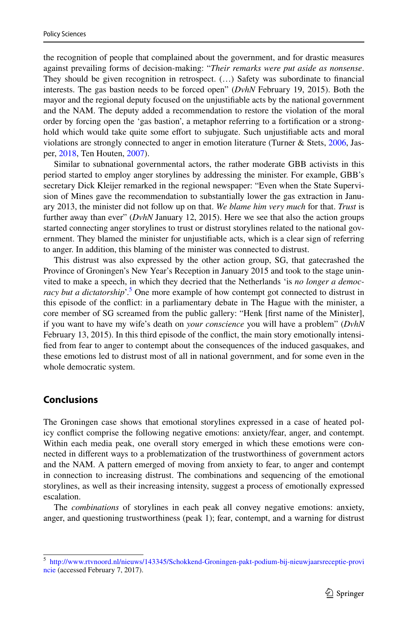the recognition of people that complained about the government, and for drastic measures against prevailing forms of decision-making: "*Their remarks were put aside as nonsense*. They should be given recognition in retrospect. (…) Safety was subordinate to fnancial interests. The gas bastion needs to be forced open" (*DvhN* February 19, 2015). Both the mayor and the regional deputy focused on the unjustifable acts by the national government and the NAM. The deputy added a recommendation to restore the violation of the moral order by forcing open the 'gas bastion', a metaphor referring to a fortifcation or a stronghold which would take quite some effort to subjugate. Such unjustifiable acts and moral violations are strongly connected to anger in emotion literature (Turner & Stets, [2006](#page-14-10), Jasper, [2018](#page-13-16), Ten Houten, [2007\)](#page-14-7).

Similar to subnational governmental actors, the rather moderate GBB activists in this period started to employ anger storylines by addressing the minister. For example, GBB's secretary Dick Kleijer remarked in the regional newspaper: "Even when the State Supervision of Mines gave the recommendation to substantially lower the gas extraction in January 2013, the minister did not follow up on that. *We blame him very much* for that. *Trust* is further away than ever" (*DvhN* January 12, 2015). Here we see that also the action groups started connecting anger storylines to trust or distrust storylines related to the national government. They blamed the minister for unjustifable acts, which is a clear sign of referring to anger. In addition, this blaming of the minister was connected to distrust.

This distrust was also expressed by the other action group, SG, that gatecrashed the Province of Groningen's New Year's Reception in January 2015 and took to the stage uninvited to make a speech, in which they decried that the Netherlands 'is *no longer a democ*racy but a dictatorship'.<sup>5</sup> One more example of how contempt got connected to distrust in this episode of the confict: in a parliamentary debate in The Hague with the minister, a core member of SG screamed from the public gallery: "Henk [frst name of the Minister], if you want to have my wife's death on *your conscience* you will have a problem" (*DvhN* February 13, 2015). In this third episode of the confict, the main story emotionally intensifed from fear to anger to contempt about the consequences of the induced gasquakes, and these emotions led to distrust most of all in national government, and for some even in the whole democratic system.

# **Conclusions**

The Groningen case shows that emotional storylines expressed in a case of heated policy confict comprise the following negative emotions: anxiety/fear, anger, and contempt. Within each media peak, one overall story emerged in which these emotions were connected in diferent ways to a problematization of the trustworthiness of government actors and the NAM. A pattern emerged of moving from anxiety to fear, to anger and contempt in connection to increasing distrust. The combinations and sequencing of the emotional storylines, as well as their increasing intensity, suggest a process of emotionally expressed escalation.

The *combinations* of storylines in each peak all convey negative emotions: anxiety, anger, and questioning trustworthiness (peak 1); fear, contempt, and a warning for distrust

<span id="page-10-0"></span><sup>5</sup> [http://www.rtvnoord.nl/nieuws/143345/Schokkend-Groningen-pakt-podium-bij-nieuwjaarsreceptie-provi](http://www.rtvnoord.nl/nieuws/143345/Schokkend-Groningen-pakt-podium-bij-nieuwjaarsreceptie-provincie) [ncie](http://www.rtvnoord.nl/nieuws/143345/Schokkend-Groningen-pakt-podium-bij-nieuwjaarsreceptie-provincie) (accessed February 7, 2017).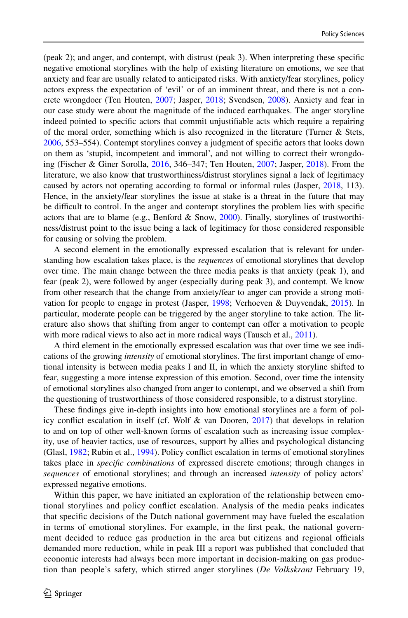(peak 2); and anger, and contempt, with distrust (peak 3). When interpreting these specifc negative emotional storylines with the help of existing literature on emotions, we see that anxiety and fear are usually related to anticipated risks. With anxiety/fear storylines, policy actors express the expectation of 'evil' or of an imminent threat, and there is not a concrete wrongdoer (Ten Houten, [2007;](#page-14-7) Jasper, [2018;](#page-13-16) Svendsen, [2008\)](#page-14-9). Anxiety and fear in our case study were about the magnitude of the induced earthquakes. The anger storyline indeed pointed to specifc actors that commit unjustifable acts which require a repairing of the moral order, something which is also recognized in the literature (Turner & Stets, [2006,](#page-14-10) 553–554). Contempt storylines convey a judgment of specifc actors that looks down on them as 'stupid, incompetent and immoral', and not willing to correct their wrongdoing (Fischer & Giner Sorolla, [2016](#page-13-23), 346–347; Ten Houten, [2007;](#page-14-7) Jasper, [2018](#page-13-16)). From the literature, we also know that trustworthiness/distrust storylines signal a lack of legitimacy caused by actors not operating according to formal or informal rules (Jasper, [2018](#page-13-16), 113). Hence, in the anxiety/fear storylines the issue at stake is a threat in the future that may be difcult to control. In the anger and contempt storylines the problem lies with specifc actors that are to blame (e.g., Benford  $&$  Snow, [2000](#page-13-24)). Finally, storylines of trustworthiness/distrust point to the issue being a lack of legitimacy for those considered responsible for causing or solving the problem.

A second element in the emotionally expressed escalation that is relevant for understanding how escalation takes place, is the *sequences* of emotional storylines that develop over time. The main change between the three media peaks is that anxiety (peak 1), and fear (peak 2), were followed by anger (especially during peak 3), and contempt. We know from other research that the change from anxiety/fear to anger can provide a strong motivation for people to engage in protest (Jasper, [1998](#page-13-25); Verhoeven & Duyvendak, [2015\)](#page-14-4). In particular, moderate people can be triggered by the anger storyline to take action. The literature also shows that shifting from anger to contempt can offer a motivation to people with more radical views to also act in more radical ways (Tausch et al., [2011\)](#page-14-11).

A third element in the emotionally expressed escalation was that over time we see indications of the growing *intensity* of emotional storylines. The frst important change of emotional intensity is between media peaks I and II, in which the anxiety storyline shifted to fear, suggesting a more intense expression of this emotion. Second, over time the intensity of emotional storylines also changed from anger to contempt, and we observed a shift from the questioning of trustworthiness of those considered responsible, to a distrust storyline.

These fndings give in-depth insights into how emotional storylines are a form of policy conflict escalation in itself (cf. Wolf  $\&$  van Dooren, [2017\)](#page-14-2) that develops in relation to and on top of other well-known forms of escalation such as increasing issue complexity, use of heavier tactics, use of resources, support by allies and psychological distancing (Glasl, [1982;](#page-13-8) Rubin et al., [1994](#page-13-7)). Policy confict escalation in terms of emotional storylines takes place in *specifc combinations* of expressed discrete emotions; through changes in *sequences* of emotional storylines; and through an increased *intensity* of policy actors' expressed negative emotions.

Within this paper, we have initiated an exploration of the relationship between emotional storylines and policy confict escalation. Analysis of the media peaks indicates that specifc decisions of the Dutch national government may have fueled the escalation in terms of emotional storylines. For example, in the frst peak, the national government decided to reduce gas production in the area but citizens and regional officials demanded more reduction, while in peak III a report was published that concluded that economic interests had always been more important in decision-making on gas production than people's safety, which stirred anger storylines (*De Volkskrant* February 19,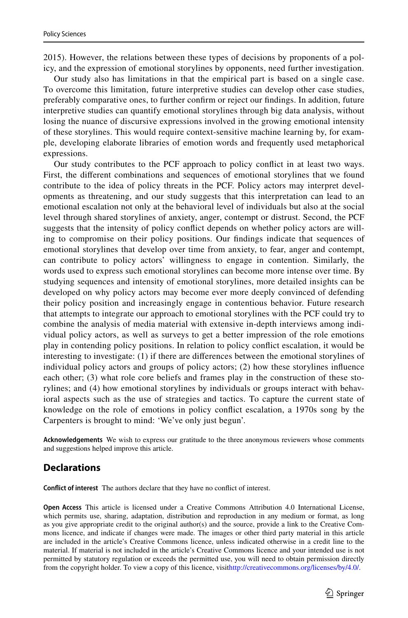2015). However, the relations between these types of decisions by proponents of a policy, and the expression of emotional storylines by opponents, need further investigation.

Our study also has limitations in that the empirical part is based on a single case. To overcome this limitation, future interpretive studies can develop other case studies, preferably comparative ones, to further confrm or reject our fndings. In addition, future interpretive studies can quantify emotional storylines through big data analysis, without losing the nuance of discursive expressions involved in the growing emotional intensity of these storylines. This would require context-sensitive machine learning by, for example, developing elaborate libraries of emotion words and frequently used metaphorical expressions.

Our study contributes to the PCF approach to policy confict in at least two ways. First, the diferent combinations and sequences of emotional storylines that we found contribute to the idea of policy threats in the PCF. Policy actors may interpret developments as threatening, and our study suggests that this interpretation can lead to an emotional escalation not only at the behavioral level of individuals but also at the social level through shared storylines of anxiety, anger, contempt or distrust. Second, the PCF suggests that the intensity of policy confict depends on whether policy actors are willing to compromise on their policy positions. Our fndings indicate that sequences of emotional storylines that develop over time from anxiety, to fear, anger and contempt, can contribute to policy actors' willingness to engage in contention. Similarly, the words used to express such emotional storylines can become more intense over time. By studying sequences and intensity of emotional storylines, more detailed insights can be developed on why policy actors may become ever more deeply convinced of defending their policy position and increasingly engage in contentious behavior. Future research that attempts to integrate our approach to emotional storylines with the PCF could try to combine the analysis of media material with extensive in-depth interviews among individual policy actors, as well as surveys to get a better impression of the role emotions play in contending policy positions. In relation to policy confict escalation, it would be interesting to investigate: (1) if there are diferences between the emotional storylines of individual policy actors and groups of policy actors; (2) how these storylines infuence each other; (3) what role core beliefs and frames play in the construction of these storylines; and (4) how emotional storylines by individuals or groups interact with behavioral aspects such as the use of strategies and tactics. To capture the current state of knowledge on the role of emotions in policy confict escalation, a 1970s song by the Carpenters is brought to mind: 'We've only just begun'.

**Acknowledgements** We wish to express our gratitude to the three anonymous reviewers whose comments and suggestions helped improve this article.

# **Declarations**

**Confict of interest** The authors declare that they have no confict of interest.

**Open Access** This article is licensed under a Creative Commons Attribution 4.0 International License, which permits use, sharing, adaptation, distribution and reproduction in any medium or format, as long as you give appropriate credit to the original author(s) and the source, provide a link to the Creative Commons licence, and indicate if changes were made. The images or other third party material in this article are included in the article's Creative Commons licence, unless indicated otherwise in a credit line to the material. If material is not included in the article's Creative Commons licence and your intended use is not permitted by statutory regulation or exceeds the permitted use, you will need to obtain permission directly from the copyright holder. To view a copy of this licence, visit[http://creativecommons.org/licenses/by/4.0/.](http://creativecommons.org/licenses/by/4.0/)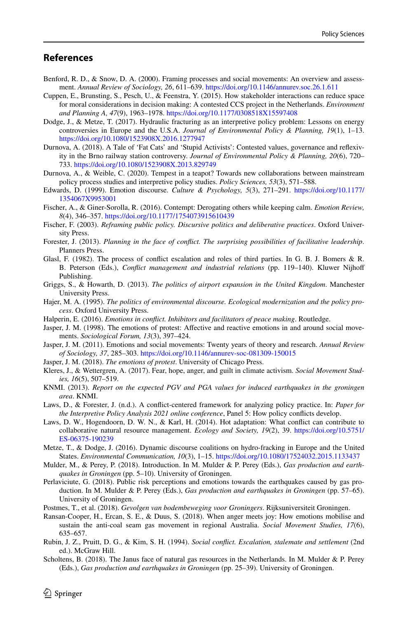# **References**

- <span id="page-13-24"></span>Benford, R. D., & Snow, D. A. (2000). Framing processes and social movements: An overview and assessment. *Annual Review of Sociology, 26*, 611–639. <https://doi.org/10.1146/annurev.soc.26.1.611>
- <span id="page-13-1"></span>Cuppen, E., Brunsting, S., Pesch, U., & Feenstra, Y. (2015). How stakeholder interactions can reduce space for moral considerations in decision making: A contested CCS project in the Netherlands. *Environment and Planning A, 47*(9), 1963–1978.<https://doi.org/10.1177/0308518X15597408>
- <span id="page-13-2"></span>Dodge, J., & Metze, T. (2017). Hydraulic fracturing as an interpretive policy problem: Lessons on energy controversies in Europe and the U.S.A. *Journal of Environmental Policy & Planning, 19*(1), 1–13. <https://doi.org/10.1080/1523908X.2016.1277947>
- <span id="page-13-3"></span>Durnova, A. (2018). A Tale of 'Fat Cats' and 'Stupid Activists': Contested values, governance and refexivity in the Brno railway station controversy. *Journal of Environmental Policy & Planning, 20*(6), 720– 733. <https://doi.org/10.1080/1523908X.2013.829749>
- <span id="page-13-10"></span>Durnova, A., & Weible, C. (2020). Tempest in a teapot? Towards new collaborations between mainstream policy process studies and interpretive policy studies. *Policy Sciences, 53*(3), 571–588.
- <span id="page-13-21"></span>Edwards, D. (1999). Emotion discourse. *Culture & Psychology, 5*(3), 271–291. [https://doi.org/10.1177/](https://doi.org/10.1177/1354067X9953001) [1354067X9953001](https://doi.org/10.1177/1354067X9953001)
- <span id="page-13-23"></span>Fischer, A., & Giner-Sorolla, R. (2016). Contempt: Derogating others while keeping calm. *Emotion Review, 8*(4), 346–357.<https://doi.org/10.1177/1754073915610439>
- <span id="page-13-14"></span>Fischer, F. (2003). *Reframing public policy. Discursive politics and deliberative practices*. Oxford University Press.
- <span id="page-13-0"></span>Forester, J. (2013). *Planning in the face of confict. The surprising possibilities of facilitative leadership*. Planners Press.
- <span id="page-13-8"></span>Glasl, F. (1982). The process of confict escalation and roles of third parties. In G. B. J. Bomers & R. B. Peterson (Eds.), *Confict management and industrial relations* (pp. 119–140). Kluwer Nijhof Publishing.
- <span id="page-13-4"></span>Griggs, S., & Howarth, D. (2013). *The politics of airport expansion in the United Kingdom*. Manchester University Press.
- <span id="page-13-15"></span>Hajer, M. A. (1995). *The politics of environmental discourse. Ecological modernization and the policy process*. Oxford University Press.
- <span id="page-13-9"></span>Halperin, E. (2016). *Emotions in confict. Inhibitors and facilitators of peace making*. Routledge.
- <span id="page-13-25"></span>Jasper, J. M. (1998). The emotions of protest: Afective and reactive emotions in and around social movements. *Sociological Forum, 13*(3), 397–424.
- <span id="page-13-17"></span>Jasper, J. M. (2011). Emotions and social movements: Twenty years of theory and research. *Annual Review of Sociology, 37*, 285–303.<https://doi.org/10.1146/annurev-soc-081309-150015>
- <span id="page-13-16"></span>Jasper, J. M. (2018). *The emotions of protest*. University of Chicago Press.
- <span id="page-13-18"></span>Kleres, J., & Wettergren, A. (2017). Fear, hope, anger, and guilt in climate activism. *Social Movement Studies, 16*(5), 507–519.
- <span id="page-13-22"></span>KNMI. (2013). *Report on the expected PGV and PGA values for induced earthquakes in the groningen area*. KNMI.
- Laws, D., & Forester, J. (n.d.). A confict-centered framework for analyzing policy practice. In: *Paper for the Interpretive Policy Analysis 2021 online conference*, Panel 5: How policy conficts develop.
- <span id="page-13-5"></span>Laws, D. W., Hogendoorn, D. W. N., & Karl, H. (2014). Hot adaptation: What confict can contribute to collaborative natural resource management. *Ecology and Society, 19*(2), 39. [https://doi.org/10.5751/](https://doi.org/10.5751/ES-06375-190239) [ES-06375-190239](https://doi.org/10.5751/ES-06375-190239)
- <span id="page-13-13"></span>Metze, T., & Dodge, J. (2016). Dynamic discourse coalitions on hydro-fracking in Europe and the United States. *Environmental Communication, 10*(3), 1–15. <https://doi.org/10.1080/17524032.2015.1133437>
- <span id="page-13-20"></span>Mulder, M., & Perey, P. (2018). Introduction. In M. Mulder & P. Perey (Eds.), *Gas production and earthquakes in Groningen* (pp. 5–10). University of Groningen.
- <span id="page-13-11"></span>Perlaviciute, G. (2018). Public risk perceptions and emotions towards the earthquakes caused by gas production. In M. Mulder & P. Perey (Eds.), *Gas production and earthquakes in Groningen* (pp. 57–65). University of Groningen.
- <span id="page-13-12"></span>Postmes, T., et al. (2018). *Gevolgen van bodembeweging voor Groningers*. Rijksuniversiteit Groningen.
- <span id="page-13-6"></span>Ransan-Cooper, H., Ercan, S. E., & Duus, S. (2018). When anger meets joy: How emotions mobilise and sustain the anti-coal seam gas movement in regional Australia. *Social Movement Studies, 17*(6), 635–657.
- <span id="page-13-7"></span>Rubin, J. Z., Pruitt, D. G., & Kim, S. H. (1994). *Social confict. Escalation, stalemate and settlement* (2nd ed.). McGraw Hill.
- <span id="page-13-19"></span>Scholtens, B. (2018). The Janus face of natural gas resources in the Netherlands. In M. Mulder & P. Perey (Eds.), *Gas production and earthquakes in Groningen* (pp. 25–39). University of Groningen.